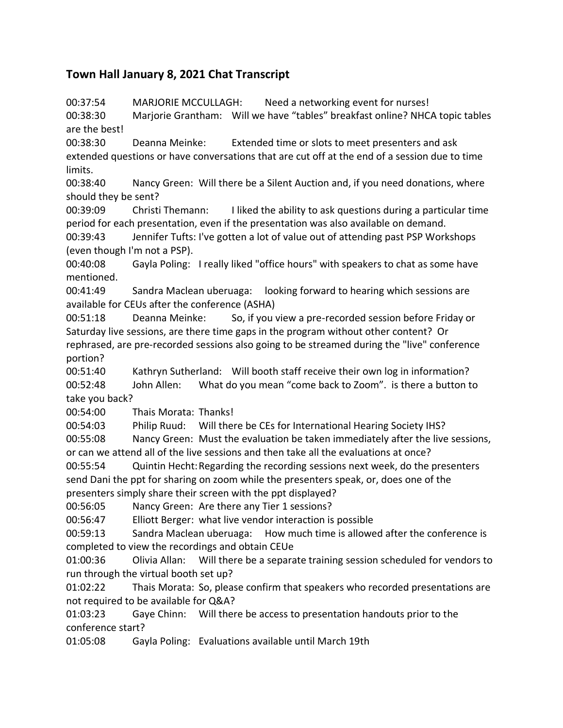## **Town Hall January 8, 2021 Chat Transcript**

00:37:54 MARJORIE MCCULLAGH: Need a networking event for nurses! 00:38:30 Marjorie Grantham: Will we have "tables" breakfast online? NHCA topic tables are the best!

00:38:30 Deanna Meinke: Extended time or slots to meet presenters and ask extended questions or have conversations that are cut off at the end of a session due to time limits.

00:38:40 Nancy Green: Will there be a Silent Auction and, if you need donations, where should they be sent?

00:39:09 Christi Themann: I liked the ability to ask questions during a particular time period for each presentation, even if the presentation was also available on demand.

00:39:43 Jennifer Tufts: I've gotten a lot of value out of attending past PSP Workshops (even though I'm not a PSP).

00:40:08 Gayla Poling: I really liked "office hours" with speakers to chat as some have mentioned.

00:41:49 Sandra Maclean uberuaga: looking forward to hearing which sessions are available for CEUs after the conference (ASHA)

00:51:18 Deanna Meinke: So, if you view a pre-recorded session before Friday or Saturday live sessions, are there time gaps in the program without other content? Or rephrased, are pre-recorded sessions also going to be streamed during the "live" conference portion?

00:51:40 Kathryn Sutherland: Will booth staff receive their own log in information? 00:52:48 John Allen: What do you mean "come back to Zoom". is there a button to take you back?

00:54:00 Thais Morata: Thanks!

00:54:03 Philip Ruud: Will there be CEs for International Hearing Society IHS?

00:55:08 Nancy Green: Must the evaluation be taken immediately after the live sessions, or can we attend all of the live sessions and then take all the evaluations at once?

00:55:54 Quintin Hecht:Regarding the recording sessions next week, do the presenters send Dani the ppt for sharing on zoom while the presenters speak, or, does one of the presenters simply share their screen with the ppt displayed?

00:56:05 Nancy Green: Are there any Tier 1 sessions?

00:56:47 Elliott Berger: what live vendor interaction is possible

00:59:13 Sandra Maclean uberuaga: How much time is allowed after the conference is completed to view the recordings and obtain CEUe

01:00:36 Olivia Allan: Will there be a separate training session scheduled for vendors to run through the virtual booth set up?

01:02:22 Thais Morata: So, please confirm that speakers who recorded presentations are not required to be available for Q&A?

01:03:23 Gaye Chinn: Will there be access to presentation handouts prior to the conference start?

01:05:08 Gayla Poling: Evaluations available until March 19th